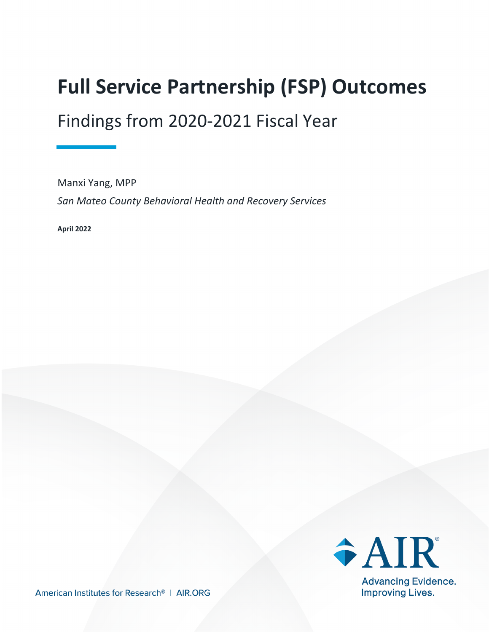# **Full Service Partnership (FSP) Outcomes**

# Findings from 2020-2021 Fiscal Year

Manxi Yang, MPP *San Mateo County Behavioral Health and Recovery Services*

**April 2022**



American Institutes for Research<sup>®</sup> | AIR.ORG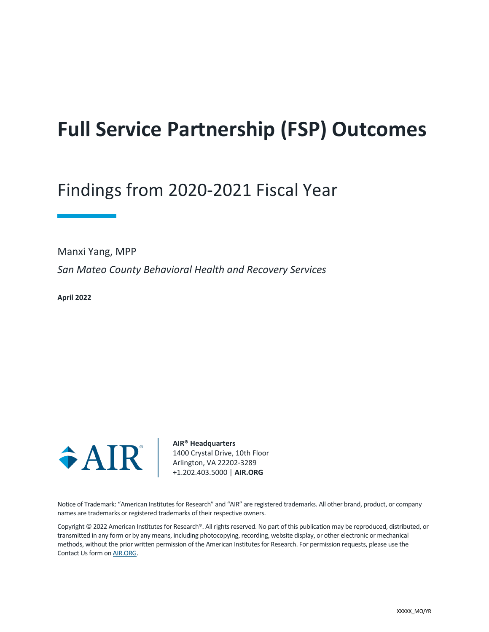# **Full Service Partnership (FSP) Outcomes**

# Findings from 2020-2021 Fiscal Year

Manxi Yang, MPP

*San Mateo County Behavioral Health and Recovery Services*

**April 2022**



**AIR® Headquarters** 1400 Crystal Drive, 10th Floor Arlington, VA 22202-3289 +1.202.403.5000 | **AIR.ORG**

Notice of Trademark: "American Institutes for Research" and "AIR" are registered trademarks. All other brand, product, or company names are trademarks or registered trademarks of their respective owners.

Copyright © 2022 American Institutes for Research®. All rights reserved. No part of this publication may be reproduced, distributed, or transmitted in any form or by any means, including photocopying, recording, website display, or other electronic or mechanical methods, without the prior written permission of the American Institutes for Research. For permission requests, please use the Contact Us form o[n AIR.ORG.](http://www.air.org/)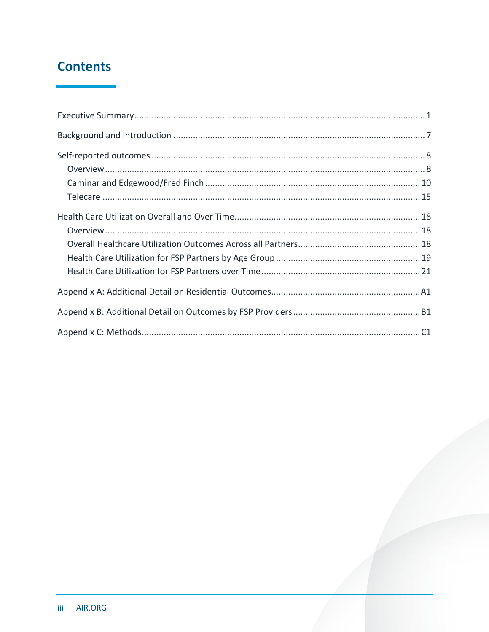# **Contents**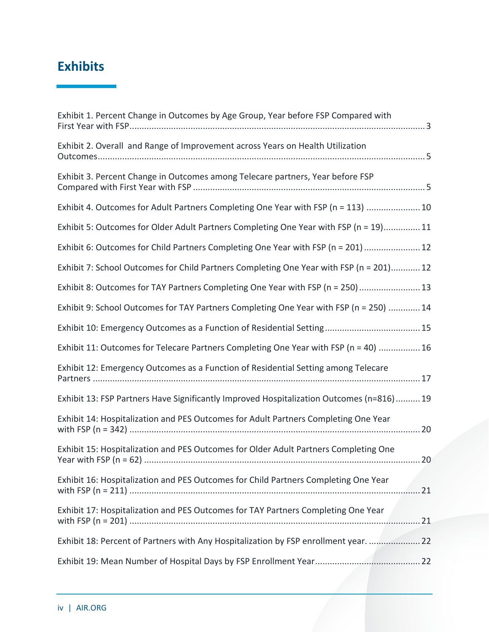# **Exhibits**

| Exhibit 1. Percent Change in Outcomes by Age Group, Year before FSP Compared with        |
|------------------------------------------------------------------------------------------|
| Exhibit 2. Overall and Range of Improvement across Years on Health Utilization           |
| Exhibit 3. Percent Change in Outcomes among Telecare partners, Year before FSP           |
| Exhibit 4. Outcomes for Adult Partners Completing One Year with FSP (n = 113)  10        |
| Exhibit 5: Outcomes for Older Adult Partners Completing One Year with FSP (n = 19) 11    |
| Exhibit 6: Outcomes for Child Partners Completing One Year with FSP (n = 201)  12        |
| Exhibit 7: School Outcomes for Child Partners Completing One Year with FSP (n = 201) 12  |
| Exhibit 8: Outcomes for TAY Partners Completing One Year with FSP (n = 250) 13           |
| Exhibit 9: School Outcomes for TAY Partners Completing One Year with FSP (n = 250)  14   |
|                                                                                          |
| Exhibit 11: Outcomes for Telecare Partners Completing One Year with FSP (n = 40)  16     |
| Exhibit 12: Emergency Outcomes as a Function of Residential Setting among Telecare       |
| Exhibit 13: FSP Partners Have Significantly Improved Hospitalization Outcomes (n=816) 19 |
| Exhibit 14: Hospitalization and PES Outcomes for Adult Partners Completing One Year      |
| Exhibit 15: Hospitalization and PES Outcomes for Older Adult Partners Completing One     |
| Exhibit 16: Hospitalization and PES Outcomes for Child Partners Completing One Year      |
| Exhibit 17: Hospitalization and PES Outcomes for TAY Partners Completing One Year        |
| Exhibit 18: Percent of Partners with Any Hospitalization by FSP enrollment year.  22     |
|                                                                                          |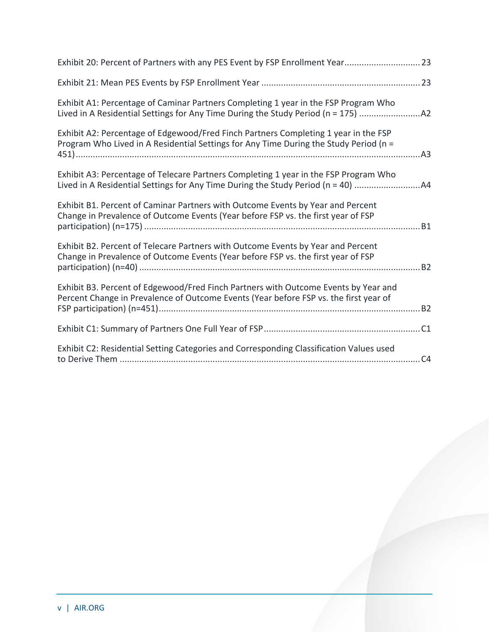| Exhibit 20: Percent of Partners with any PES Event by FSP Enrollment Year 23                                                                                                 |
|------------------------------------------------------------------------------------------------------------------------------------------------------------------------------|
|                                                                                                                                                                              |
| Exhibit A1: Percentage of Caminar Partners Completing 1 year in the FSP Program Who<br>Lived in A Residential Settings for Any Time During the Study Period (n = 175)        |
| Exhibit A2: Percentage of Edgewood/Fred Finch Partners Completing 1 year in the FSP<br>Program Who Lived in A Residential Settings for Any Time During the Study Period (n = |
| Exhibit A3: Percentage of Telecare Partners Completing 1 year in the FSP Program Who<br>Lived in A Residential Settings for Any Time During the Study Period (n = 40)        |
| Exhibit B1. Percent of Caminar Partners with Outcome Events by Year and Percent<br>Change in Prevalence of Outcome Events (Year before FSP vs. the first year of FSP         |
| Exhibit B2. Percent of Telecare Partners with Outcome Events by Year and Percent<br>Change in Prevalence of Outcome Events (Year before FSP vs. the first year of FSP        |
| Exhibit B3. Percent of Edgewood/Fred Finch Partners with Outcome Events by Year and<br>Percent Change in Prevalence of Outcome Events (Year before FSP vs. the first year of |
|                                                                                                                                                                              |
| Exhibit C2: Residential Setting Categories and Corresponding Classification Values used                                                                                      |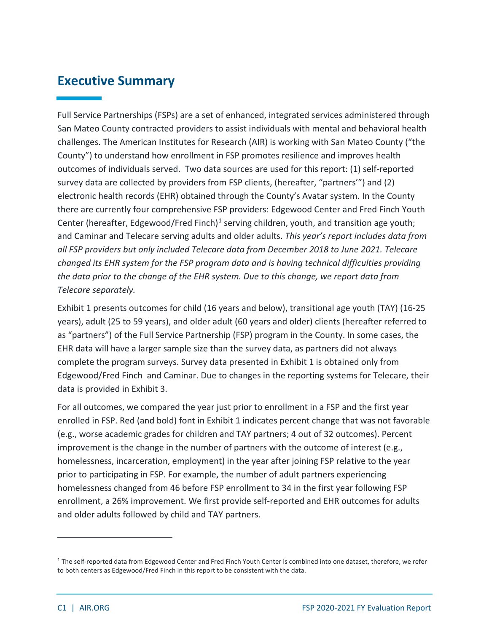# <span id="page-7-0"></span>**Executive Summary**

Full Service Partnerships (FSPs) are a set of enhanced, integrated services administered through San Mateo County contracted providers to assist individuals with mental and behavioral health challenges. The American Institutes for Research (AIR) is working with San Mateo County ("the County") to understand how enrollment in FSP promotes resilience and improves health outcomes of individuals served. Two data sources are used for this report: (1) self-reported survey data are collected by providers from FSP clients, (hereafter, "partners'") and (2) electronic health records (EHR) obtained through the County's Avatar system. In the County there are currently four comprehensive FSP providers: Edgewood Center and Fred Finch Youth Center (hereafter, Edgewood/Fred Finch)<sup>[1](#page-7-1)</sup> serving children, youth, and transition age youth; and Caminar and Telecare serving adults and older adults. *This year's report includes data from all FSP providers but only included Telecare data from December 2018 to June 2021. Telecare changed its EHR system for the FSP program data and is having technical difficulties providing the data prior to the change of the EHR system. Due to this change, we report data from Telecare separately.* 

Exhibit 1 presents outcomes for child (16 years and below), transitional age youth (TAY) (16-25 years), adult (25 to 59 years), and older adult (60 years and older) clients (hereafter referred to as "partners") of the Full Service Partnership (FSP) program in the County. In some cases, the EHR data will have a larger sample size than the survey data, as partners did not always complete the program surveys. Survey data presented in Exhibit 1 is obtained only from Edgewood/Fred Finch and Caminar. Due to changes in the reporting systems for Telecare, their data is provided in Exhibit 3.

For all outcomes, we compared the year just prior to enrollment in a FSP and the first year enrolled in FSP. Red (and bold) font in Exhibit 1 indicates percent change that was not favorable (e.g., worse academic grades for children and TAY partners; 4 out of 32 outcomes). Percent improvement is the change in the number of partners with the outcome of interest (e.g., homelessness, incarceration, employment) in the year after joining FSP relative to the year prior to participating in FSP. For example, the number of adult partners experiencing homelessness changed from 46 before FSP enrollment to 34 in the first year following FSP enrollment, a 26% improvement. We first provide self-reported and EHR outcomes for adults and older adults followed by child and TAY partners.

<span id="page-7-1"></span><sup>&</sup>lt;sup>1</sup> The self-reported data from Edgewood Center and Fred Finch Youth Center is combined into one dataset, therefore, we refer to both centers as Edgewood/Fred Finch in this report to be consistent with the data.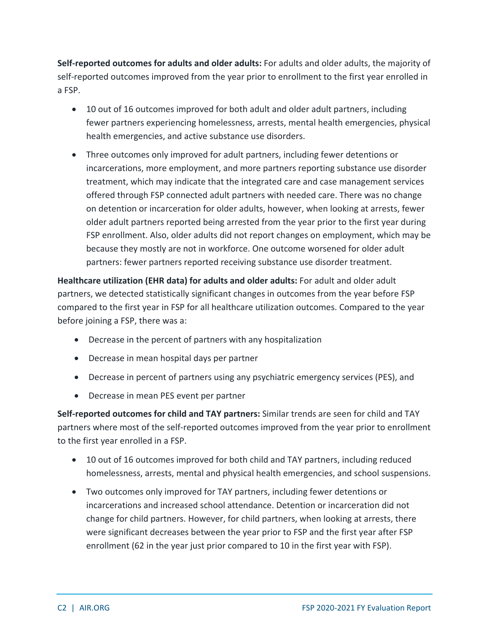**Self-reported outcomes for adults and older adults:** For adults and older adults, the majority of self-reported outcomes improved from the year prior to enrollment to the first year enrolled in a FSP.

- 10 out of 16 outcomes improved for both adult and older adult partners, including fewer partners experiencing homelessness, arrests, mental health emergencies, physical health emergencies, and active substance use disorders.
- Three outcomes only improved for adult partners, including fewer detentions or incarcerations, more employment, and more partners reporting substance use disorder treatment, which may indicate that the integrated care and case management services offered through FSP connected adult partners with needed care. There was no change on detention or incarceration for older adults, however, when looking at arrests, fewer older adult partners reported being arrested from the year prior to the first year during FSP enrollment. Also, older adults did not report changes on employment, which may be because they mostly are not in workforce. One outcome worsened for older adult partners: fewer partners reported receiving substance use disorder treatment.

**Healthcare utilization (EHR data) for adults and older adults:** For adult and older adult partners, we detected statistically significant changes in outcomes from the year before FSP compared to the first year in FSP for all healthcare utilization outcomes. Compared to the year before joining a FSP, there was a:

- Decrease in the percent of partners with any hospitalization
- Decrease in mean hospital days per partner
- Decrease in percent of partners using any psychiatric emergency services (PES), and
- Decrease in mean PES event per partner

**Self-reported outcomes for child and TAY partners:** Similar trends are seen for child and TAY partners where most of the self-reported outcomes improved from the year prior to enrollment to the first year enrolled in a FSP.

- 10 out of 16 outcomes improved for both child and TAY partners, including reduced homelessness, arrests, mental and physical health emergencies, and school suspensions.
- Two outcomes only improved for TAY partners, including fewer detentions or incarcerations and increased school attendance. Detention or incarceration did not change for child partners. However, for child partners, when looking at arrests, there were significant decreases between the year prior to FSP and the first year after FSP enrollment (62 in the year just prior compared to 10 in the first year with FSP).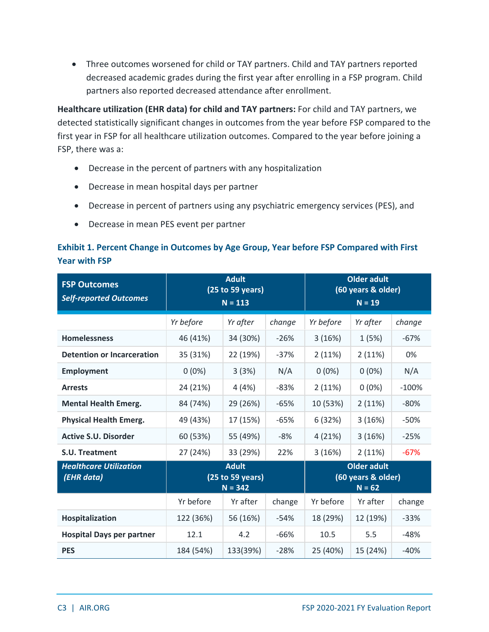• Three outcomes worsened for child or TAY partners. Child and TAY partners reported decreased academic grades during the first year after enrolling in a FSP program. Child partners also reported decreased attendance after enrollment.

**Healthcare utilization (EHR data) for child and TAY partners:** For child and TAY partners, we detected statistically significant changes in outcomes from the year before FSP compared to the first year in FSP for all healthcare utilization outcomes. Compared to the year before joining a FSP, there was a:

- Decrease in the percent of partners with any hospitalization
- Decrease in mean hospital days per partner
- Decrease in percent of partners using any psychiatric emergency services (PES), and
- Decrease in mean PES event per partner

### <span id="page-9-0"></span>**Exhibit 1. Percent Change in Outcomes by Age Group, Year before FSP Compared with First Year with FSP**

| <b>FSP Outcomes</b><br><b>Self-reported Outcomes</b> | <b>Adult</b><br>(25 to 59 years)<br>$N = 113$ |          |        | <b>Older adult</b><br>(60 years & older)<br>$N = 19$ |          |         |
|------------------------------------------------------|-----------------------------------------------|----------|--------|------------------------------------------------------|----------|---------|
|                                                      | Yr before                                     | Yr after | change | Yr before                                            | Yr after | change  |
| <b>Homelessness</b>                                  | 46 (41%)                                      | 34 (30%) | $-26%$ | 3(16%)                                               | 1(5%)    | $-67%$  |
| <b>Detention or Incarceration</b>                    | 35 (31%)                                      | 22 (19%) | $-37%$ | 2(11%)                                               | 2(11%)   | 0%      |
| <b>Employment</b>                                    | $0(0\%)$                                      | 3(3%)    | N/A    | $0(0\%)$                                             | $0(0\%)$ | N/A     |
| <b>Arrests</b>                                       | 24 (21%)                                      | 4(4%)    | $-83%$ | 2(11%)                                               | $0(0\%)$ | $-100%$ |
| <b>Mental Health Emerg.</b>                          | 84 (74%)                                      | 29 (26%) | $-65%$ | 10 (53%)                                             | 2(11%)   | $-80%$  |
| <b>Physical Health Emerg.</b>                        | 49 (43%)                                      | 17 (15%) | $-65%$ | 6(32%)                                               | 3(16%)   | $-50%$  |
| <b>Active S.U. Disorder</b>                          | 60 (53%)                                      | 55 (49%) | $-8%$  | 4(21%)                                               | 3(16%)   | $-25%$  |
| S.U. Treatment                                       | 27 (24%)                                      | 33 (29%) | 22%    | 3(16%)                                               | 2(11%)   | $-67%$  |
| <b>Healthcare Utilization</b><br>(EHR data)          | <b>Adult</b><br>(25 to 59 years)<br>$N = 342$ |          |        | <b>Older adult</b><br>(60 years & older)<br>$N = 62$ |          |         |
|                                                      | Yr before                                     | Yr after | change | Yr before                                            | Yr after | change  |
| Hospitalization                                      | 122 (36%)                                     | 56 (16%) | $-54%$ | 18 (29%)                                             | 12 (19%) | $-33%$  |
| <b>Hospital Days per partner</b>                     | 12.1                                          | 4.2      | $-66%$ | 10.5                                                 | 5.5      | $-48%$  |
| <b>PES</b>                                           | 184 (54%)                                     | 133(39%) | $-28%$ | 25 (40%)                                             | 15 (24%) | $-40%$  |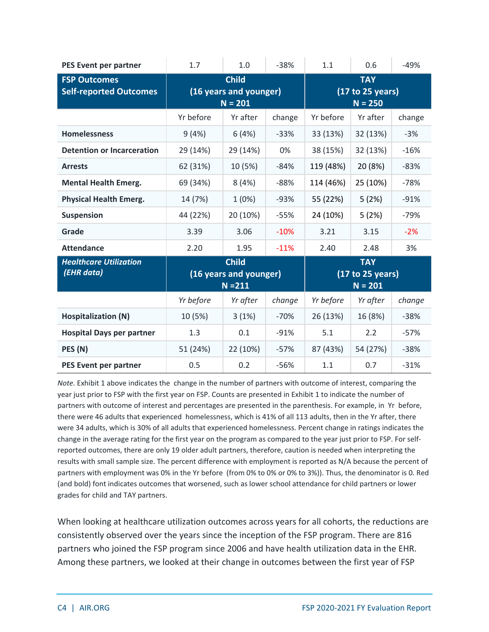| <b>PES Event per partner</b>                         | 1.7                                                 | 1.0                | $-38%$ | 1.1                                         | 0.6      | $-49%$                                      |  |
|------------------------------------------------------|-----------------------------------------------------|--------------------|--------|---------------------------------------------|----------|---------------------------------------------|--|
| <b>FSP Outcomes</b><br><b>Self-reported Outcomes</b> | <b>Child</b><br>(16 years and younger)<br>$N = 201$ |                    |        |                                             |          | <b>TAY</b><br>(17 to 25 years)<br>$N = 250$ |  |
|                                                      | Yr before                                           | Yr after<br>change |        | Yr before                                   | Yr after | change                                      |  |
| <b>Homelessness</b>                                  | 9(4%)                                               | 6(4%)              | $-33%$ | 33 (13%)                                    | 32 (13%) | $-3%$                                       |  |
| <b>Detention or Incarceration</b>                    | 29 (14%)                                            | 29 (14%)           | 0%     | 38 (15%)                                    | 32 (13%) | $-16%$                                      |  |
| <b>Arrests</b>                                       | 62 (31%)                                            | 10 (5%)            | $-84%$ | 119 (48%)                                   | 20 (8%)  | $-83%$                                      |  |
| <b>Mental Health Emerg.</b>                          | 69 (34%)                                            | 8(4%)              | $-88%$ | 114 (46%)                                   | 25 (10%) | $-78%$                                      |  |
| <b>Physical Health Emerg.</b>                        | 14 (7%)                                             | 1(0%)              | $-93%$ | 55 (22%)                                    | 5(2%)    | $-91%$                                      |  |
| <b>Suspension</b>                                    | 44 (22%)                                            | 20 (10%)           | $-55%$ | 24 (10%)                                    | 5(2%)    | $-79%$                                      |  |
| Grade                                                | 3.39                                                | 3.06               | $-10%$ | 3.21                                        | 3.15     | $-2%$                                       |  |
| <b>Attendance</b>                                    | 2.20                                                | 1.95               | $-11%$ | 2.40                                        | 2.48     | 3%                                          |  |
| <b>Healthcare Utilization</b><br>(EHR data)          | <b>Child</b><br>(16 years and younger)<br>$N = 211$ |                    |        | <b>TAY</b><br>(17 to 25 years)<br>$N = 201$ |          |                                             |  |
|                                                      | Yr before                                           | Yr after           | change | Yr before                                   | Yr after | change                                      |  |
| <b>Hospitalization (N)</b>                           | 10 (5%)                                             | 3(1%)              | $-70%$ | 26 (13%)                                    | 16 (8%)  | $-38%$                                      |  |
| <b>Hospital Days per partner</b>                     | 1.3                                                 | 0.1                | $-91%$ | 5.1                                         | 2.2      | $-57%$                                      |  |
| PES (N)                                              | 51 (24%)                                            | 22 (10%)           | $-57%$ | 87 (43%)                                    | 54 (27%) | $-38%$                                      |  |
| <b>PES Event per partner</b>                         | 0.5                                                 | 0.2                | $-56%$ | 1.1                                         | 0.7      | $-31%$                                      |  |

*Note.* Exhibit 1 above indicates the change in the number of partners with outcome of interest, comparing the year just prior to FSP with the first year on FSP. Counts are presented in Exhibit 1 to indicate the number of partners with outcome of interest and percentages are presented in the parenthesis. For example, in Yr before, there were 46 adults that experienced homelessness, which is 41% of all 113 adults, then in the Yr after, there were 34 adults, which is 30% of all adults that experienced homelessness. Percent change in ratings indicates the change in the average rating for the first year on the program as compared to the year just prior to FSP. For selfreported outcomes, there are only 19 older adult partners, therefore, caution is needed when interpreting the results with small sample size. The percent difference with employment is reported as N/A because the percent of partners with employment was 0% in the Yr before (from 0% to 0% or 0% to 3%)). Thus, the denominator is 0. Red (and bold) font indicates outcomes that worsened, such as lower school attendance for child partners or lower grades for child and TAY partners.

When looking at healthcare utilization outcomes across years for all cohorts, the reductions are consistently observed over the years since the inception of the FSP program. There are 816 partners who joined the FSP program since 2006 and have health utilization data in the EHR. Among these partners, we looked at their change in outcomes between the first year of FSP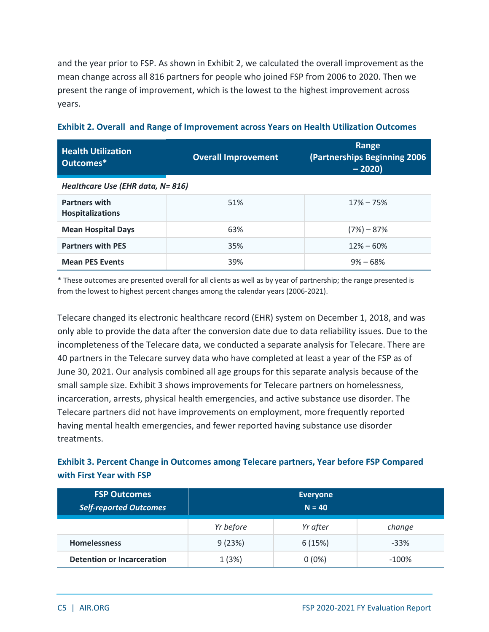and the year prior to FSP. As shown in Exhibit 2, we calculated the overall improvement as the mean change across all 816 partners for people who joined FSP from 2006 to 2020. Then we present the range of improvement, which is the lowest to the highest improvement across years.

| <b>Health Utilization</b><br>Outcomes*          | <b>Overall Improvement</b> | Range<br>(Partnerships Beginning 2006)<br>$-2020$ |
|-------------------------------------------------|----------------------------|---------------------------------------------------|
| Healthcare Use (EHR data, N= 816)               |                            |                                                   |
| <b>Partners with</b><br><b>Hospitalizations</b> | 51%                        | $17\% - 75\%$                                     |
| <b>Mean Hospital Days</b>                       | 63%                        | $(7%) - 87%$                                      |
| <b>Partners with PES</b>                        | 35%                        | $12\% - 60\%$                                     |
| <b>Mean PES Events</b>                          | 39%                        | $9\% - 68\%$                                      |

#### <span id="page-11-0"></span>**Exhibit 2. Overall and Range of Improvement across Years on Health Utilization Outcomes**

\* These outcomes are presented overall for all clients as well as by year of partnership; the range presented is from the lowest to highest percent changes among the calendar years (2006-2021).

Telecare changed its electronic healthcare record (EHR) system on December 1, 2018, and was only able to provide the data after the conversion date due to data reliability issues. Due to the incompleteness of the Telecare data, we conducted a separate analysis for Telecare. There are 40 partners in the Telecare survey data who have completed at least a year of the FSP as of June 30, 2021. Our analysis combined all age groups for this separate analysis because of the small sample size. Exhibit 3 shows improvements for Telecare partners on homelessness, incarceration, arrests, physical health emergencies, and active substance use disorder. The Telecare partners did not have improvements on employment, more frequently reported having mental health emergencies, and fewer reported having substance use disorder treatments.

#### <span id="page-11-1"></span>**Exhibit 3. Percent Change in Outcomes among Telecare partners, Year before FSP Compared with First Year with FSP**

| <b>FSP Outcomes</b><br><b>Self-reported Outcomes</b> | <b>Everyone</b><br>$N = 40$ |          |         |  |  |
|------------------------------------------------------|-----------------------------|----------|---------|--|--|
|                                                      | Yr before                   | Yr after | change  |  |  |
| <b>Homelessness</b>                                  | 9(23%)                      | 6(15%)   | $-33%$  |  |  |
| <b>Detention or Incarceration</b>                    | 1(3%)                       | $0(0\%)$ | $-100%$ |  |  |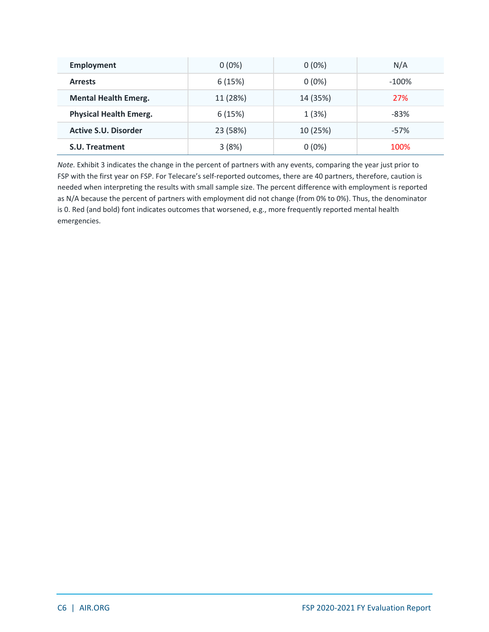| <b>Employment</b>             | $0(0\%)$ | $0(0\%)$ | N/A     |
|-------------------------------|----------|----------|---------|
| <b>Arrests</b>                | 6(15%)   | $0(0\%)$ | $-100%$ |
| <b>Mental Health Emerg.</b>   | 11 (28%) | 14 (35%) | 27%     |
| <b>Physical Health Emerg.</b> | 6(15%)   | 1(3%)    | $-83%$  |
| <b>Active S.U. Disorder</b>   | 23 (58%) | 10 (25%) | $-57%$  |
| S.U. Treatment                | 3(8%)    | $0(0\%)$ | 100%    |

*Note.* Exhibit 3 indicates the change in the percent of partners with any events, comparing the year just prior to FSP with the first year on FSP. For Telecare's self-reported outcomes, there are 40 partners, therefore, caution is needed when interpreting the results with small sample size. The percent difference with employment is reported as N/A because the percent of partners with employment did not change (from 0% to 0%). Thus, the denominator is 0. Red (and bold) font indicates outcomes that worsened, e.g., more frequently reported mental health emergencies.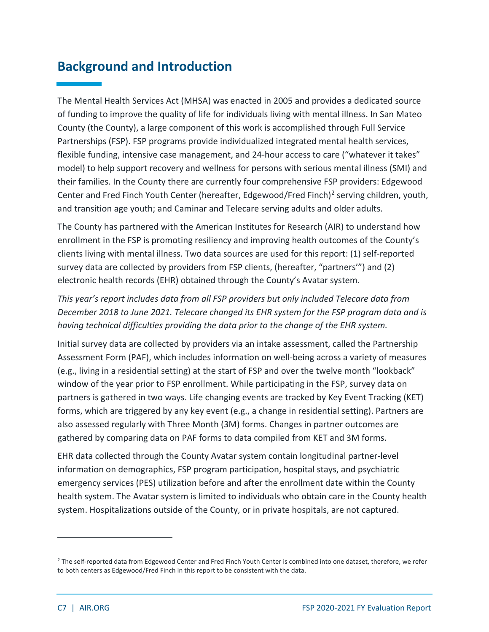# <span id="page-13-0"></span>**Background and Introduction**

The Mental Health Services Act (MHSA) was enacted in 2005 and provides a dedicated source of funding to improve the quality of life for individuals living with mental illness. In San Mateo County (the County), a large component of this work is accomplished through Full Service Partnerships (FSP). FSP programs provide individualized integrated mental health services, flexible funding, intensive case management, and 24-hour access to care ("whatever it takes" model) to help support recovery and wellness for persons with serious mental illness (SMI) and their families. In the County there are currently four comprehensive FSP providers: Edgewood Center and Fred Finch Youth Center (hereafter, Edgewood/Fred Finch)<sup>[2](#page-13-1)</sup> serving children, youth, and transition age youth; and Caminar and Telecare serving adults and older adults.

The County has partnered with the American Institutes for Research (AIR) to understand how enrollment in the FSP is promoting resiliency and improving health outcomes of the County's clients living with mental illness. Two data sources are used for this report: (1) self-reported survey data are collected by providers from FSP clients, (hereafter, "partners'") and (2) electronic health records (EHR) obtained through the County's Avatar system.

*This year's report includes data from all FSP providers but only included Telecare data from December 2018 to June 2021. Telecare changed its EHR system for the FSP program data and is having technical difficulties providing the data prior to the change of the EHR system.* 

Initial survey data are collected by providers via an intake assessment, called the Partnership Assessment Form (PAF), which includes information on well-being across a variety of measures (e.g., living in a residential setting) at the start of FSP and over the twelve month "lookback" window of the year prior to FSP enrollment. While participating in the FSP, survey data on partners is gathered in two ways. Life changing events are tracked by Key Event Tracking (KET) forms, which are triggered by any key event (e.g., a change in residential setting). Partners are also assessed regularly with Three Month (3M) forms. Changes in partner outcomes are gathered by comparing data on PAF forms to data compiled from KET and 3M forms.

EHR data collected through the County Avatar system contain longitudinal partner-level information on demographics, FSP program participation, hospital stays, and psychiatric emergency services (PES) utilization before and after the enrollment date within the County health system. The Avatar system is limited to individuals who obtain care in the County health system. Hospitalizations outside of the County, or in private hospitals, are not captured.

<span id="page-13-1"></span><sup>&</sup>lt;sup>2</sup> The self-reported data from Edgewood Center and Fred Finch Youth Center is combined into one dataset, therefore, we refer to both centers as Edgewood/Fred Finch in this report to be consistent with the data.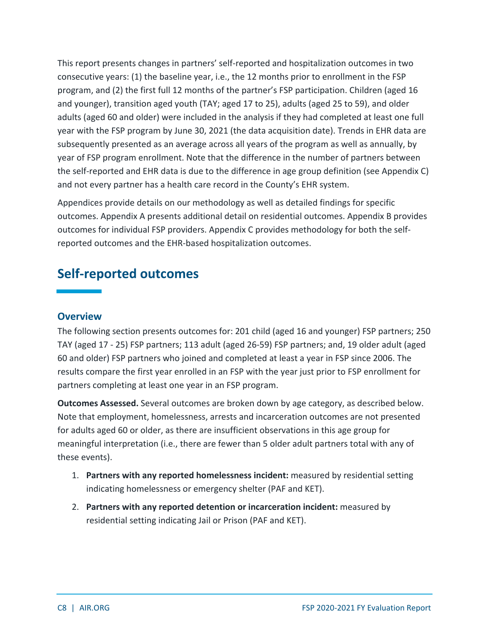This report presents changes in partners' self-reported and hospitalization outcomes in two consecutive years: (1) the baseline year, i.e., the 12 months prior to enrollment in the FSP program, and (2) the first full 12 months of the partner's FSP participation. Children (aged 16 and younger), transition aged youth (TAY; aged 17 to 25), adults (aged 25 to 59), and older adults (aged 60 and older) were included in the analysis if they had completed at least one full year with the FSP program by June 30, 2021 (the data acquisition date). Trends in EHR data are subsequently presented as an average across all years of the program as well as annually, by year of FSP program enrollment. Note that the difference in the number of partners between the self-reported and EHR data is due to the difference in age group definition (see Appendix C) and not every partner has a health care record in the County's EHR system.

Appendices provide details on our methodology as well as detailed findings for specific outcomes. Appendix A presents additional detail on residential outcomes. Appendix B provides outcomes for individual FSP providers. Appendix C provides methodology for both the selfreported outcomes and the EHR-based hospitalization outcomes.

# <span id="page-14-0"></span>**Self-reported outcomes**

#### <span id="page-14-1"></span>**Overview**

The following section presents outcomes for: 201 child (aged 16 and younger) FSP partners; 250 TAY (aged 17 - 25) FSP partners; 113 adult (aged 26-59) FSP partners; and, 19 older adult (aged 60 and older) FSP partners who joined and completed at least a year in FSP since 2006. The results compare the first year enrolled in an FSP with the year just prior to FSP enrollment for partners completing at least one year in an FSP program.

**Outcomes Assessed.** Several outcomes are broken down by age category, as described below. Note that employment, homelessness, arrests and incarceration outcomes are not presented for adults aged 60 or older, as there are insufficient observations in this age group for meaningful interpretation (i.e., there are fewer than 5 older adult partners total with any of these events).

- 1. **Partners with any reported homelessness incident:** measured by residential setting indicating homelessness or emergency shelter (PAF and KET).
- 2. **Partners with any reported detention or incarceration incident:** measured by residential setting indicating Jail or Prison (PAF and KET).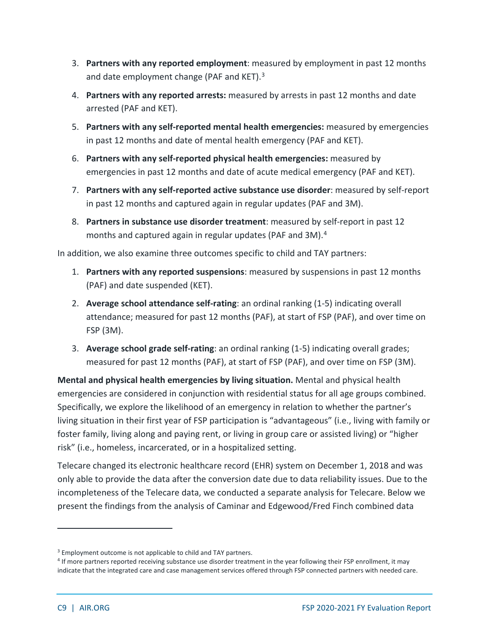- 3. **Partners with any reported employment**: measured by employment in past 12 months and date employment change (PAF and KET).<sup>[3](#page-15-0)</sup>
- 4. **Partners with any reported arrests:** measured by arrests in past 12 months and date arrested (PAF and KET).
- 5. **Partners with any self-reported mental health emergencies:** measured by emergencies in past 12 months and date of mental health emergency (PAF and KET).
- 6. **Partners with any self-reported physical health emergencies:** measured by emergencies in past 12 months and date of acute medical emergency (PAF and KET).
- 7. **Partners with any self-reported active substance use disorder**: measured by self-report in past 12 months and captured again in regular updates (PAF and 3M).
- 8. **Partners in substance use disorder treatment**: measured by self-report in past 12 months and captured again in regular updates (PAF and 3M).[4](#page-15-1)

In addition, we also examine three outcomes specific to child and TAY partners:

- 1. **Partners with any reported suspensions**: measured by suspensions in past 12 months (PAF) and date suspended (KET).
- 2. **Average school attendance self-rating**: an ordinal ranking (1-5) indicating overall attendance; measured for past 12 months (PAF), at start of FSP (PAF), and over time on FSP (3M).
- 3. **Average school grade self-rating**: an ordinal ranking (1-5) indicating overall grades; measured for past 12 months (PAF), at start of FSP (PAF), and over time on FSP (3M).

**Mental and physical health emergencies by living situation.** Mental and physical health emergencies are considered in conjunction with residential status for all age groups combined. Specifically, we explore the likelihood of an emergency in relation to whether the partner's living situation in their first year of FSP participation is "advantageous" (i.e., living with family or foster family, living along and paying rent, or living in group care or assisted living) or "higher risk" (i.e., homeless, incarcerated, or in a hospitalized setting.

Telecare changed its electronic healthcare record (EHR) system on December 1, 2018 and was only able to provide the data after the conversion date due to data reliability issues. Due to the incompleteness of the Telecare data, we conducted a separate analysis for Telecare. Below we present the findings from the analysis of Caminar and Edgewood/Fred Finch combined data

<span id="page-15-1"></span><span id="page-15-0"></span> $3$  Employment outcome is not applicable to child and TAY partners.<br> $4$  If more partners reported receiving substance use disorder treatment in the year following their FSP enrollment, it may indicate that the integrated care and case management services offered through FSP connected partners with needed care.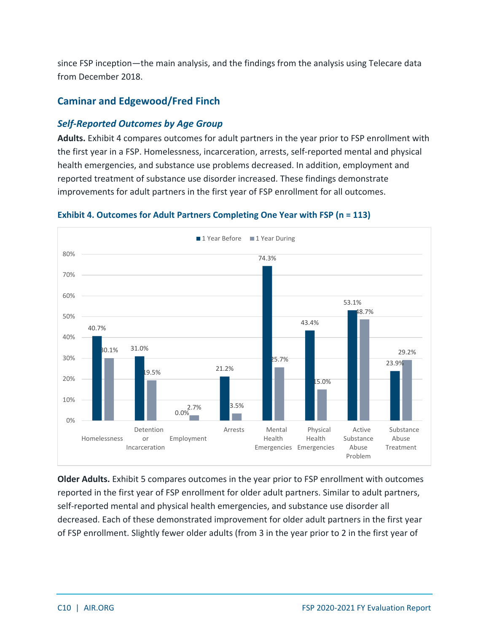since FSP inception—the main analysis, and the findings from the analysis using Telecare data from December 2018.

# <span id="page-16-0"></span>**Caminar and Edgewood/Fred Finch**

#### *Self-Reported Outcomes by Age Group*

**Adults.** Exhibit 4 compares outcomes for adult partners in the year prior to FSP enrollment with the first year in a FSP. Homelessness, incarceration, arrests, self-reported mental and physical health emergencies, and substance use problems decreased. In addition, employment and reported treatment of substance use disorder increased. These findings demonstrate improvements for adult partners in the first year of FSP enrollment for all outcomes.



#### <span id="page-16-1"></span>**Exhibit 4. Outcomes for Adult Partners Completing One Year with FSP (n = 113)**

**Older Adults.** Exhibit 5 compares outcomes in the year prior to FSP enrollment with outcomes reported in the first year of FSP enrollment for older adult partners. Similar to adult partners, self-reported mental and physical health emergencies, and substance use disorder all decreased. Each of these demonstrated improvement for older adult partners in the first year of FSP enrollment. Slightly fewer older adults (from 3 in the year prior to 2 in the first year of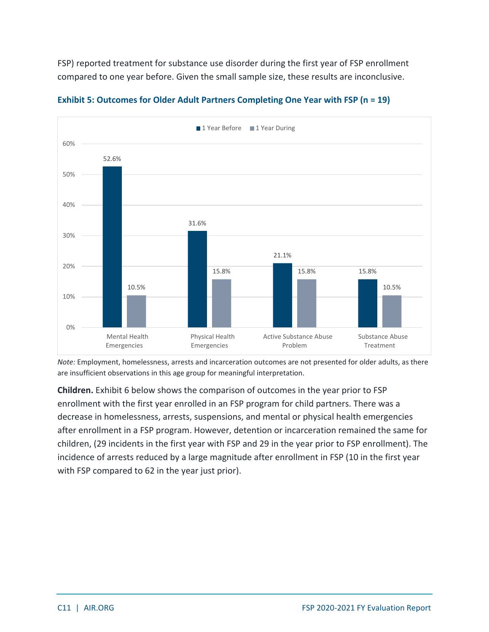FSP) reported treatment for substance use disorder during the first year of FSP enrollment compared to one year before. Given the small sample size, these results are inconclusive.



<span id="page-17-0"></span>**Exhibit 5: Outcomes for Older Adult Partners Completing One Year with FSP (n = 19)**

*Note:* Employment, homelessness, arrests and incarceration outcomes are not presented for older adults, as there are insufficient observations in this age group for meaningful interpretation.

**Children.** Exhibit 6 below shows the comparison of outcomes in the year prior to FSP enrollment with the first year enrolled in an FSP program for child partners. There was a decrease in homelessness, arrests, suspensions, and mental or physical health emergencies after enrollment in a FSP program. However, detention or incarceration remained the same for children, (29 incidents in the first year with FSP and 29 in the year prior to FSP enrollment). The incidence of arrests reduced by a large magnitude after enrollment in FSP (10 in the first year with FSP compared to 62 in the year just prior).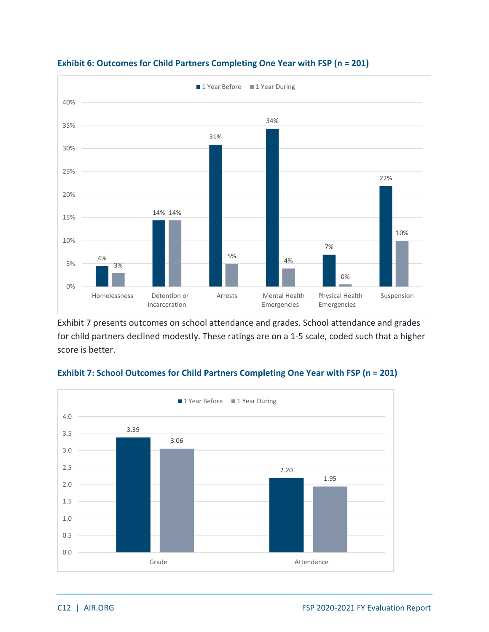

# <span id="page-18-0"></span>**Exhibit 6: Outcomes for Child Partners Completing One Year with FSP (n = 201)**

Exhibit 7 presents outcomes on school attendance and grades. School attendance and grades for child partners declined modestly. These ratings are on a 1-5 scale, coded such that a higher score is better.



#### <span id="page-18-1"></span>**Exhibit 7: School Outcomes for Child Partners Completing One Year with FSP (n = 201)**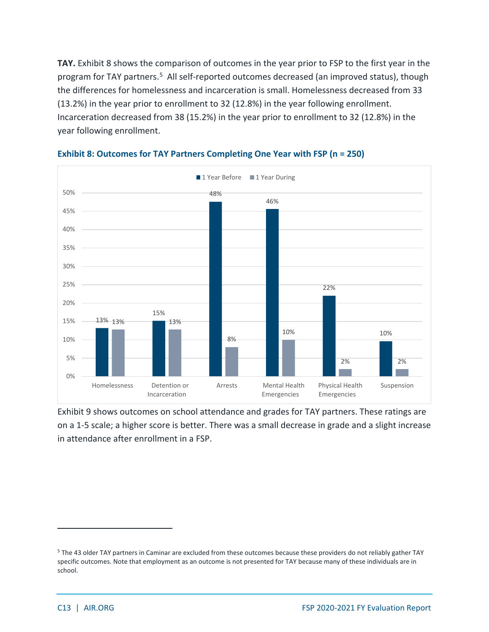**TAY.** Exhibit 8 shows the comparison of outcomes in the year prior to FSP to the first year in the program for TAY partners.<sup>[5](#page-19-1)</sup> All self-reported outcomes decreased (an improved status), though the differences for homelessness and incarceration is small. Homelessness decreased from 33 (13.2%) in the year prior to enrollment to 32 (12.8%) in the year following enrollment. Incarceration decreased from 38 (15.2%) in the year prior to enrollment to 32 (12.8%) in the year following enrollment.



#### <span id="page-19-0"></span>**Exhibit 8: Outcomes for TAY Partners Completing One Year with FSP (n = 250)**

Exhibit 9 shows outcomes on school attendance and grades for TAY partners. These ratings are on a 1-5 scale; a higher score is better. There was a small decrease in grade and a slight increase in attendance after enrollment in a FSP.

<span id="page-19-1"></span><sup>5</sup> The 43 older TAY partners in Caminar are excluded from these outcomes because these providers do not reliably gather TAY specific outcomes. Note that employment as an outcome is not presented for TAY because many of these individuals are in school.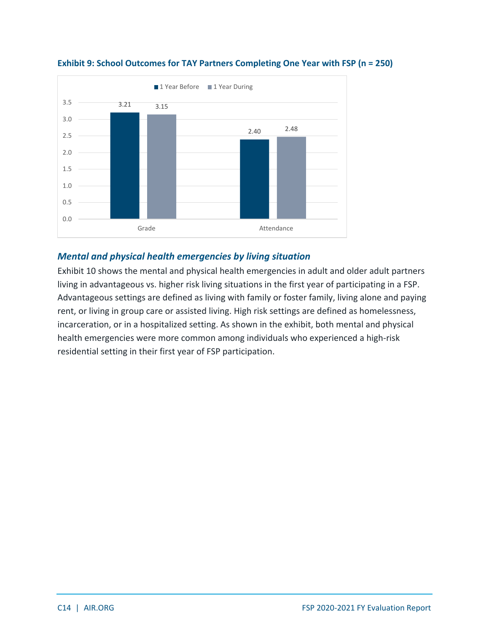

<span id="page-20-0"></span>

## *Mental and physical health emergencies by living situation*

Exhibit 10 shows the mental and physical health emergencies in adult and older adult partners living in advantageous vs. higher risk living situations in the first year of participating in a FSP. Advantageous settings are defined as living with family or foster family, living alone and paying rent, or living in group care or assisted living. High risk settings are defined as homelessness, incarceration, or in a hospitalized setting. As shown in the exhibit, both mental and physical health emergencies were more common among individuals who experienced a high-risk residential setting in their first year of FSP participation.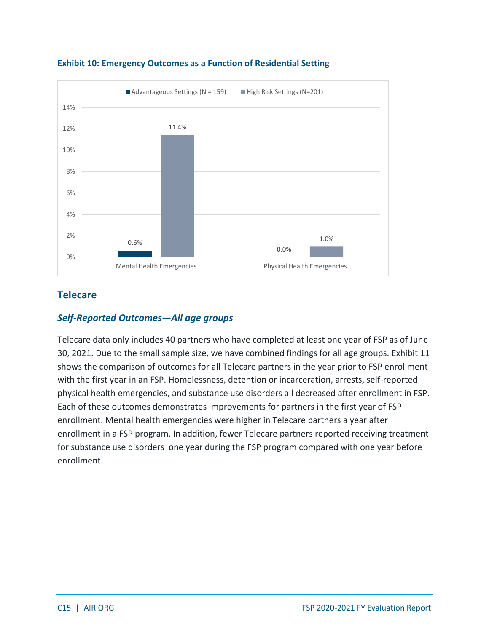

#### <span id="page-21-1"></span>**Exhibit 10: Emergency Outcomes as a Function of Residential Setting**

# <span id="page-21-0"></span>**Telecare**

## *Self-Reported Outcomes—All age groups*

Telecare data only includes 40 partners who have completed at least one year of FSP as of June 30, 2021. Due to the small sample size, we have combined findings for all age groups. Exhibit 11 shows the comparison of outcomes for all Telecare partners in the year prior to FSP enrollment with the first year in an FSP. Homelessness, detention or incarceration, arrests, self-reported physical health emergencies, and substance use disorders all decreased after enrollment in FSP. Each of these outcomes demonstrates improvements for partners in the first year of FSP enrollment. Mental health emergencies were higher in Telecare partners a year after enrollment in a FSP program. In addition, fewer Telecare partners reported receiving treatment for substance use disorders one year during the FSP program compared with one year before enrollment.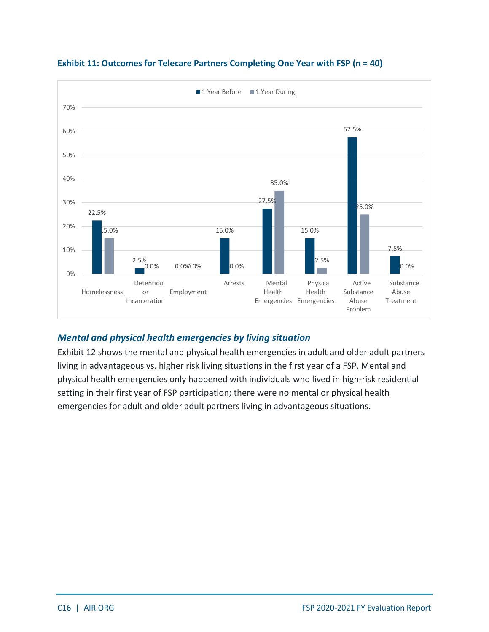

<span id="page-22-0"></span>**Exhibit 11: Outcomes for Telecare Partners Completing One Year with FSP (n = 40)**

# *Mental and physical health emergencies by living situation*

Exhibit 12 shows the mental and physical health emergencies in adult and older adult partners living in advantageous vs. higher risk living situations in the first year of a FSP. Mental and physical health emergencies only happened with individuals who lived in high-risk residential setting in their first year of FSP participation; there were no mental or physical health emergencies for adult and older adult partners living in advantageous situations.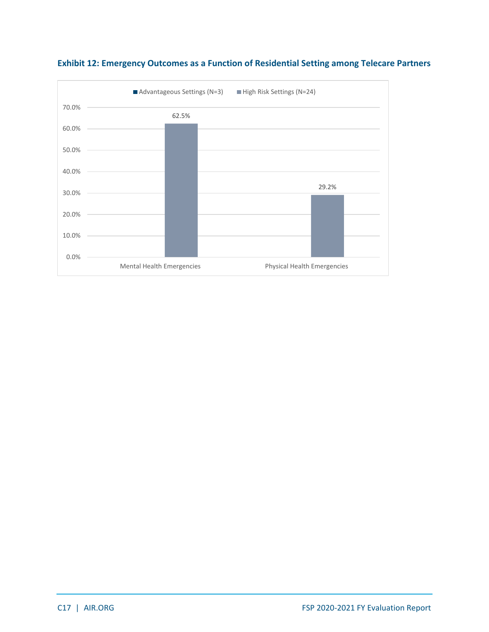

<span id="page-23-0"></span>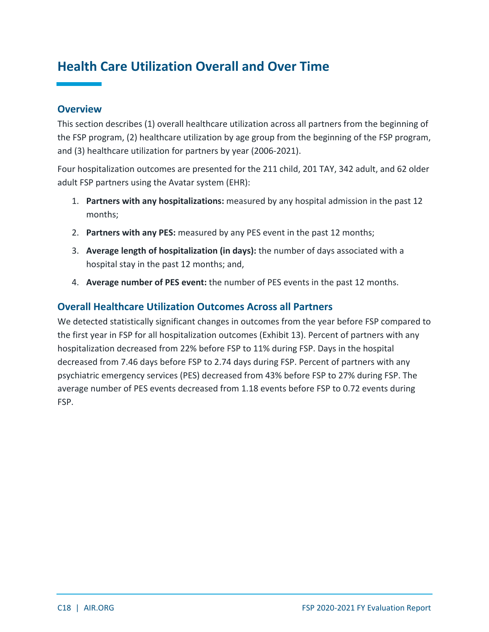# <span id="page-24-0"></span>**Health Care Utilization Overall and Over Time**

#### <span id="page-24-1"></span>**Overview**

This section describes (1) overall healthcare utilization across all partners from the beginning of the FSP program, (2) healthcare utilization by age group from the beginning of the FSP program, and (3) healthcare utilization for partners by year (2006-2021).

Four hospitalization outcomes are presented for the 211 child, 201 TAY, 342 adult, and 62 older adult FSP partners using the Avatar system (EHR):

- 1. **Partners with any hospitalizations:** measured by any hospital admission in the past 12 months;
- 2. **Partners with any PES:** measured by any PES event in the past 12 months;
- 3. **Average length of hospitalization (in days):** the number of days associated with a hospital stay in the past 12 months; and,
- 4. **Average number of PES event:** the number of PES events in the past 12 months.

#### <span id="page-24-2"></span>**Overall Healthcare Utilization Outcomes Across all Partners**

We detected statistically significant changes in outcomes from the year before FSP compared to the first year in FSP for all hospitalization outcomes (Exhibit 13). Percent of partners with any hospitalization decreased from 22% before FSP to 11% during FSP. Days in the hospital decreased from 7.46 days before FSP to 2.74 days during FSP. Percent of partners with any psychiatric emergency services (PES) decreased from 43% before FSP to 27% during FSP. The average number of PES events decreased from 1.18 events before FSP to 0.72 events during FSP.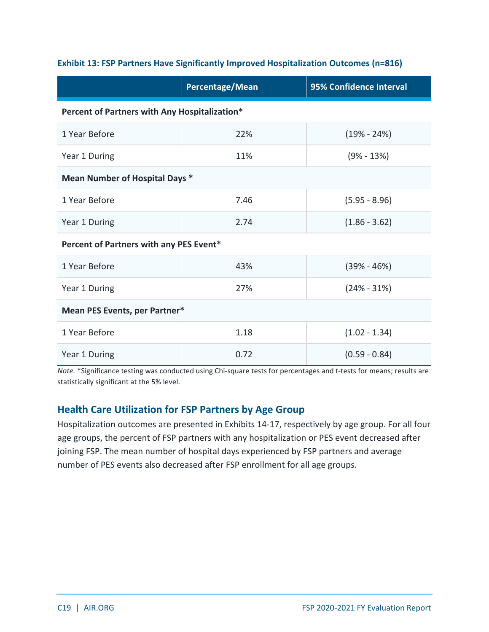|                                               | Percentage/Mean | 95% Confidence Interval |  |  |  |
|-----------------------------------------------|-----------------|-------------------------|--|--|--|
| Percent of Partners with Any Hospitalization* |                 |                         |  |  |  |
| 1 Year Before                                 | 22%             | $(19\% - 24\%)$         |  |  |  |
| Year 1 During                                 | 11%             | $(9\% - 13\%)$          |  |  |  |
| <b>Mean Number of Hospital Days *</b>         |                 |                         |  |  |  |
| 1 Year Before                                 | 7.46            | $(5.95 - 8.96)$         |  |  |  |
| Year 1 During                                 | 2.74            | $(1.86 - 3.62)$         |  |  |  |
| Percent of Partners with any PES Event*       |                 |                         |  |  |  |
| 1 Year Before                                 | 43%             | $(39% - 46%)$           |  |  |  |
| Year 1 During                                 | 27%             | $(24% - 31%)$           |  |  |  |
| Mean PES Events, per Partner*                 |                 |                         |  |  |  |
| 1 Year Before                                 | 1.18            | $(1.02 - 1.34)$         |  |  |  |
| Year 1 During                                 | 0.72            | $(0.59 - 0.84)$         |  |  |  |

#### <span id="page-25-1"></span>**Exhibit 13: FSP Partners Have Significantly Improved Hospitalization Outcomes (n=816)**

*Note.* \*Significance testing was conducted using Chi-square tests for percentages and t-tests for means; results are statistically significant at the 5% level.

### <span id="page-25-0"></span>**Health Care Utilization for FSP Partners by Age Group**

Hospitalization outcomes are presented in Exhibits 14-17, respectively by age group. For all four age groups, the percent of FSP partners with any hospitalization or PES event decreased after joining FSP. The mean number of hospital days experienced by FSP partners and average number of PES events also decreased after FSP enrollment for all age groups.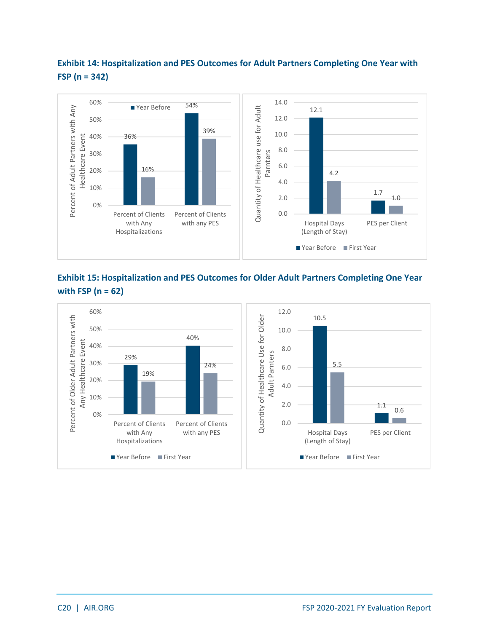# <span id="page-26-0"></span>**Exhibit 14: Hospitalization and PES Outcomes for Adult Partners Completing One Year with FSP (n = 342)**



### <span id="page-26-1"></span>**Exhibit 15: Hospitalization and PES Outcomes for Older Adult Partners Completing One Year with FSP (n = 62)**

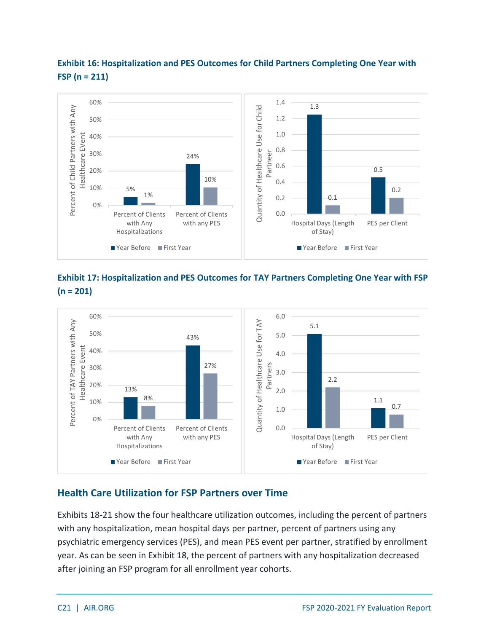

# <span id="page-27-1"></span>**Exhibit 16: Hospitalization and PES Outcomes for Child Partners Completing One Year with FSP (n = 211)**

## <span id="page-27-2"></span>**Exhibit 17: Hospitalization and PES Outcomes for TAY Partners Completing One Year with FSP (n = 201)**



# <span id="page-27-0"></span>**Health Care Utilization for FSP Partners over Time**

Exhibits 18-21 show the four healthcare utilization outcomes, including the percent of partners with any hospitalization, mean hospital days per partner, percent of partners using any psychiatric emergency services (PES), and mean PES event per partner, stratified by enrollment year. As can be seen in Exhibit 18, the percent of partners with any hospitalization decreased after joining an FSP program for all enrollment year cohorts.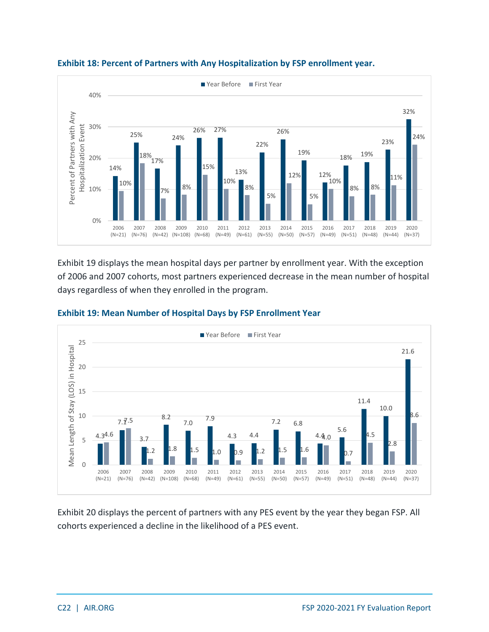

#### <span id="page-28-0"></span>**Exhibit 18: Percent of Partners with Any Hospitalization by FSP enrollment year.**

Exhibit 19 displays the mean hospital days per partner by enrollment year. With the exception of 2006 and 2007 cohorts, most partners experienced decrease in the mean number of hospital days regardless of when they enrolled in the program.



#### <span id="page-28-1"></span>**Exhibit 19: Mean Number of Hospital Days by FSP Enrollment Year**

Exhibit 20 displays the percent of partners with any PES event by the year they began FSP. All cohorts experienced a decline in the likelihood of a PES event.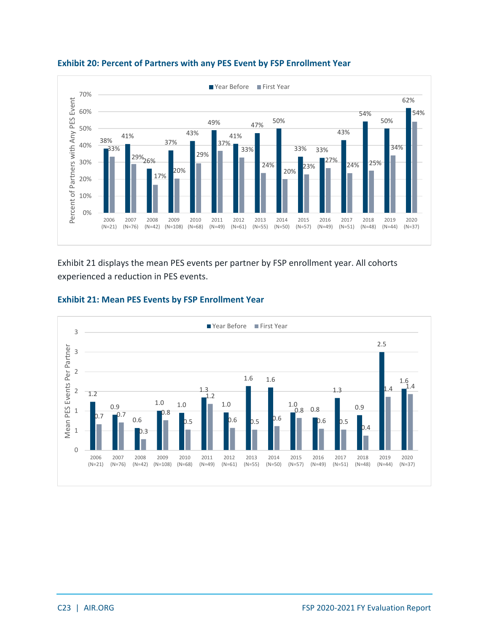

#### <span id="page-29-0"></span>**Exhibit 20: Percent of Partners with any PES Event by FSP Enrollment Year**

Exhibit 21 displays the mean PES events per partner by FSP enrollment year. All cohorts experienced a reduction in PES events.



#### <span id="page-29-1"></span>**Exhibit 21: Mean PES Events by FSP Enrollment Year**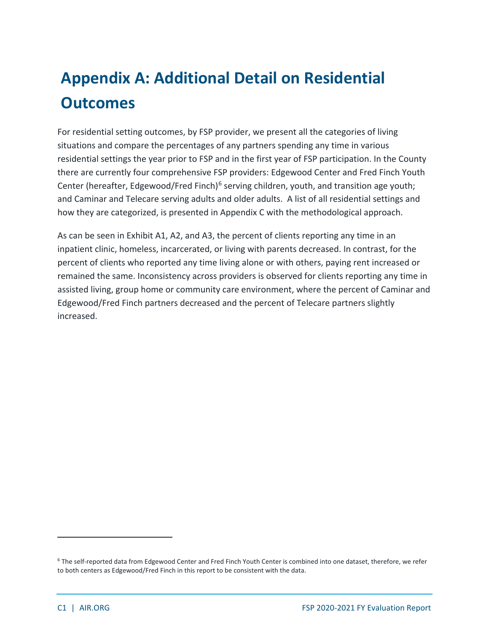# <span id="page-30-0"></span>**Appendix A: Additional Detail on Residential Outcomes**

For residential setting outcomes, by FSP provider, we present all the categories of living situations and compare the percentages of any partners spending any time in various residential settings the year prior to FSP and in the first year of FSP participation. In the County there are currently four comprehensive FSP providers: Edgewood Center and Fred Finch Youth Center (hereafter, Edgewood/Fred Finch)<sup>[6](#page-30-1)</sup> serving children, youth, and transition age youth; and Caminar and Telecare serving adults and older adults. A list of all residential settings and how they are categorized, is presented in Appendix C with the methodological approach.

As can be seen in Exhibit A1, A2, and A3, the percent of clients reporting any time in an inpatient clinic, homeless, incarcerated, or living with parents decreased. In contrast, for the percent of clients who reported any time living alone or with others, paying rent increased or remained the same. Inconsistency across providers is observed for clients reporting any time in assisted living, group home or community care environment, where the percent of Caminar and Edgewood/Fred Finch partners decreased and the percent of Telecare partners slightly increased.

<span id="page-30-1"></span><sup>6</sup> The self-reported data from Edgewood Center and Fred Finch Youth Center is combined into one dataset, therefore, we refer to both centers as Edgewood/Fred Finch in this report to be consistent with the data.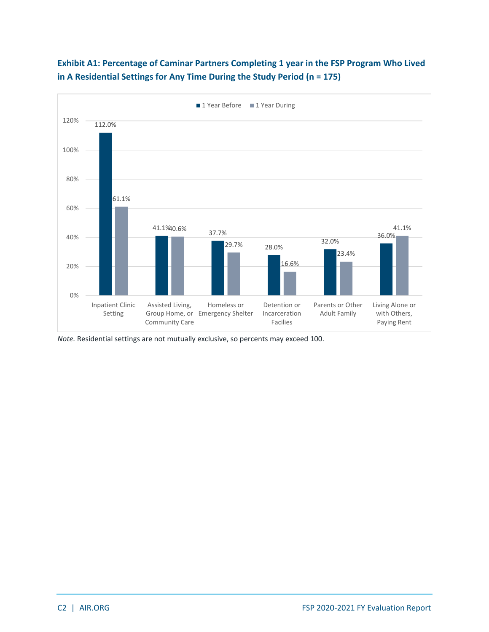

# <span id="page-31-0"></span>**Exhibit A1: Percentage of Caminar Partners Completing 1 year in the FSP Program Who Lived in A Residential Settings for Any Time During the Study Period (n = 175)**

*Note.* Residential settings are not mutually exclusive, so percents may exceed 100.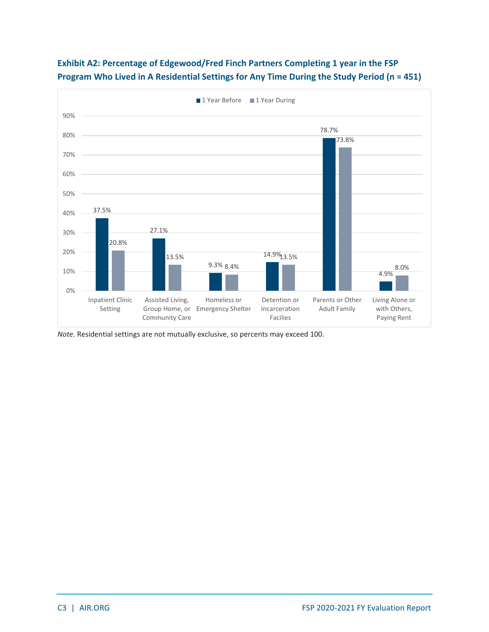

<span id="page-32-0"></span>

*Note.* Residential settings are not mutually exclusive, so percents may exceed 100.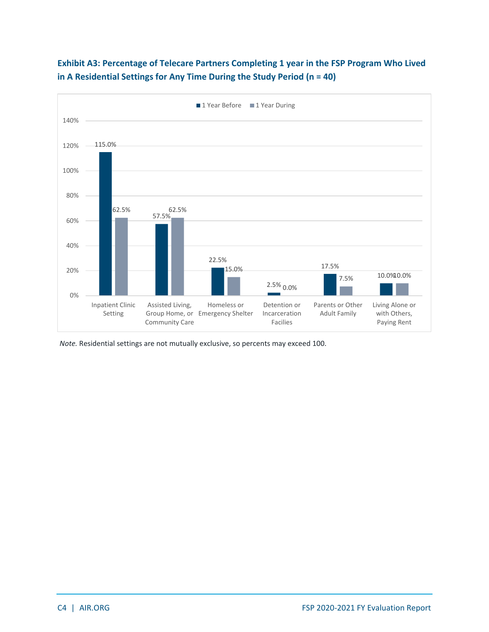

# <span id="page-33-0"></span>**Exhibit A3: Percentage of Telecare Partners Completing 1 year in the FSP Program Who Lived in A Residential Settings for Any Time During the Study Period (n = 40)**

*Note.* Residential settings are not mutually exclusive, so percents may exceed 100.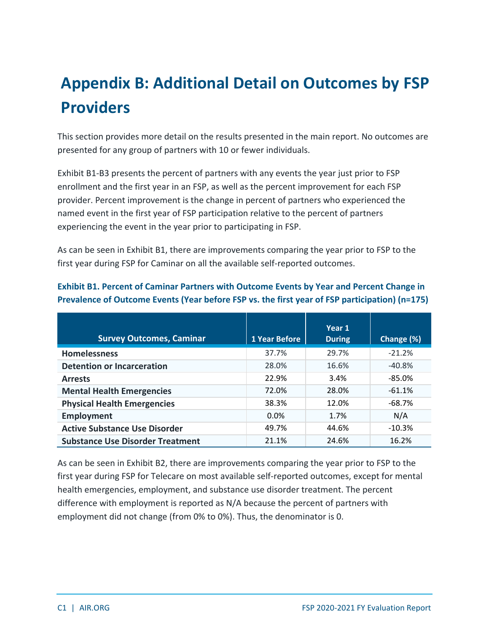# <span id="page-34-0"></span>**Appendix B: Additional Detail on Outcomes by FSP Providers**

This section provides more detail on the results presented in the main report. No outcomes are presented for any group of partners with 10 or fewer individuals.

Exhibit B1-B3 presents the percent of partners with any events the year just prior to FSP enrollment and the first year in an FSP, as well as the percent improvement for each FSP provider. Percent improvement is the change in percent of partners who experienced the named event in the first year of FSP participation relative to the percent of partners experiencing the event in the year prior to participating in FSP.

As can be seen in Exhibit B1, there are improvements comparing the year prior to FSP to the first year during FSP for Caminar on all the available self-reported outcomes.

| <b>Survey Outcomes, Caminar</b>         | 1 Year Before | Year 1<br><b>During</b> | Change (%) |
|-----------------------------------------|---------------|-------------------------|------------|
| <b>Homelessness</b>                     | 37.7%         | 29.7%                   | $-21.2%$   |
| <b>Detention or Incarceration</b>       | 28.0%         | 16.6%                   | $-40.8%$   |
| <b>Arrests</b>                          | 22.9%         | 3.4%                    | $-85.0%$   |
| <b>Mental Health Emergencies</b>        | 72.0%         | 28.0%                   | $-61.1%$   |
| <b>Physical Health Emergencies</b>      | 38.3%         | 12.0%                   | $-68.7%$   |
| <b>Employment</b>                       | 0.0%          | 1.7%                    | N/A        |
| <b>Active Substance Use Disorder</b>    | 49.7%         | 44.6%                   | $-10.3%$   |
| <b>Substance Use Disorder Treatment</b> | 21.1%         | 24.6%                   | 16.2%      |

## <span id="page-34-1"></span>**Exhibit B1. Percent of Caminar Partners with Outcome Events by Year and Percent Change in Prevalence of Outcome Events (Year before FSP vs. the first year of FSP participation) (n=175)**

As can be seen in Exhibit B2, there are improvements comparing the year prior to FSP to the first year during FSP for Telecare on most available self-reported outcomes, except for mental health emergencies, employment, and substance use disorder treatment. The percent difference with employment is reported as N/A because the percent of partners with employment did not change (from 0% to 0%). Thus, the denominator is 0.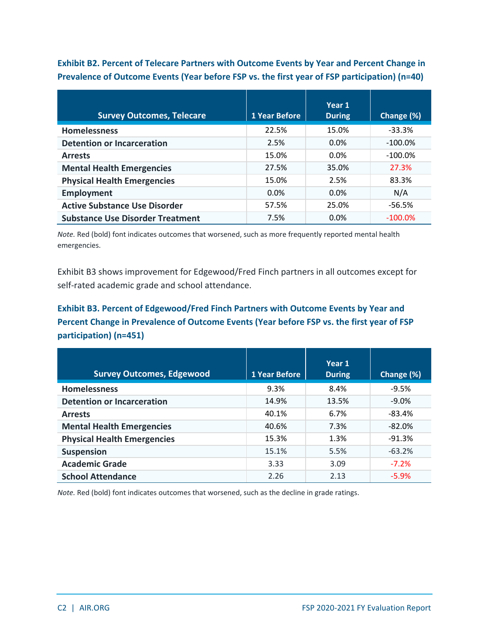<span id="page-35-0"></span>**Exhibit B2. Percent of Telecare Partners with Outcome Events by Year and Percent Change in Prevalence of Outcome Events (Year before FSP vs. the first year of FSP participation) (n=40)**

| <b>Survey Outcomes, Telecare</b>        | <b>1 Year Before</b> | Year 1<br><b>During</b> | Change (%) |
|-----------------------------------------|----------------------|-------------------------|------------|
| <b>Homelessness</b>                     | 22.5%                | 15.0%                   | $-33.3%$   |
| <b>Detention or Incarceration</b>       | 2.5%                 | 0.0%                    | $-100.0\%$ |
| <b>Arrests</b>                          | 15.0%                | 0.0%                    | $-100.0\%$ |
| <b>Mental Health Emergencies</b>        | 27.5%                | 35.0%                   | 27.3%      |
| <b>Physical Health Emergencies</b>      | 15.0%                | 2.5%                    | 83.3%      |
| <b>Employment</b>                       | $0.0\%$              | $0.0\%$                 | N/A        |
| <b>Active Substance Use Disorder</b>    | 57.5%                | 25.0%                   | $-56.5%$   |
| <b>Substance Use Disorder Treatment</b> | 7.5%                 | 0.0%                    | $-100.0%$  |

*Note.* Red (bold) font indicates outcomes that worsened, such as more frequently reported mental health emergencies.

Exhibit B3 shows improvement for Edgewood/Fred Finch partners in all outcomes except for self-rated academic grade and school attendance.

# <span id="page-35-1"></span>**Exhibit B3. Percent of Edgewood/Fred Finch Partners with Outcome Events by Year and Percent Change in Prevalence of Outcome Events (Year before FSP vs. the first year of FSP participation) (n=451)**

| <b>Survey Outcomes, Edgewood</b>   | 1 Year Before | Year 1<br><b>During</b> | Change (%) |
|------------------------------------|---------------|-------------------------|------------|
| <b>Homelessness</b>                | 9.3%          | 8.4%                    | $-9.5%$    |
| Detention or Incarceration         | 14.9%         | 13.5%                   | $-9.0%$    |
| <b>Arrests</b>                     | 40.1%         | 6.7%                    | $-83.4%$   |
| <b>Mental Health Emergencies</b>   | 40.6%         | 7.3%                    | $-82.0%$   |
| <b>Physical Health Emergencies</b> | 15.3%         | 1.3%                    | $-91.3%$   |
| <b>Suspension</b>                  | 15.1%         | 5.5%                    | $-63.2%$   |
| <b>Academic Grade</b>              | 3.33          | 3.09                    | $-7.2%$    |
| <b>School Attendance</b>           | 2.26          | 2.13                    | $-5.9%$    |

*Note.* Red (bold) font indicates outcomes that worsened, such as the decline in grade ratings.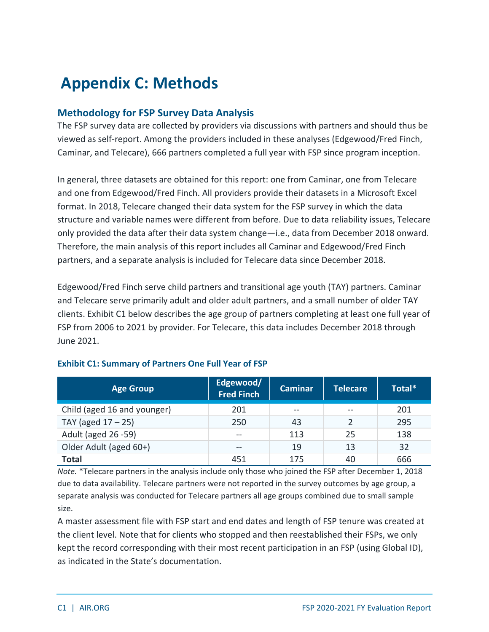# <span id="page-36-0"></span>**Appendix C: Methods**

## **Methodology for FSP Survey Data Analysis**

The FSP survey data are collected by providers via discussions with partners and should thus be viewed as self-report. Among the providers included in these analyses (Edgewood/Fred Finch, Caminar, and Telecare), 666 partners completed a full year with FSP since program inception.

In general, three datasets are obtained for this report: one from Caminar, one from Telecare and one from Edgewood/Fred Finch. All providers provide their datasets in a Microsoft Excel format. In 2018, Telecare changed their data system for the FSP survey in which the data structure and variable names were different from before. Due to data reliability issues, Telecare only provided the data after their data system change—i.e., data from December 2018 onward. Therefore, the main analysis of this report includes all Caminar and Edgewood/Fred Finch partners, and a separate analysis is included for Telecare data since December 2018.

Edgewood/Fred Finch serve child partners and transitional age youth (TAY) partners. Caminar and Telecare serve primarily adult and older adult partners, and a small number of older TAY clients. Exhibit C1 below describes the age group of partners completing at least one full year of FSP from 2006 to 2021 by provider. For Telecare, this data includes December 2018 through June 2021.

| <b>Age Group</b>            | Edgewood/<br><b>Fred Finch</b> | <b>Caminar</b> | <b>Telecare</b> | Total* |
|-----------------------------|--------------------------------|----------------|-----------------|--------|
| Child (aged 16 and younger) | 201                            | $- -$          | $- -$           | 201    |
| TAY (aged $17 - 25$ )       | 250                            | 43             |                 | 295    |
| Adult (aged 26 -59)         | $- -$                          | 113            | 25              | 138    |
| Older Adult (aged 60+)      | --                             | 19             | 13              | 32     |
| <b>Total</b>                | 451                            | 175            | 40              | 666    |

### <span id="page-36-1"></span>**Exhibit C1: Summary of Partners One Full Year of FSP**

*Note.* \*Telecare partners in the analysis include only those who joined the FSP after December 1, 2018 due to data availability. Telecare partners were not reported in the survey outcomes by age group, a separate analysis was conducted for Telecare partners all age groups combined due to small sample size.

A master assessment file with FSP start and end dates and length of FSP tenure was created at the client level. Note that for clients who stopped and then reestablished their FSPs, we only kept the record corresponding with their most recent participation in an FSP (using Global ID), as indicated in the State's documentation.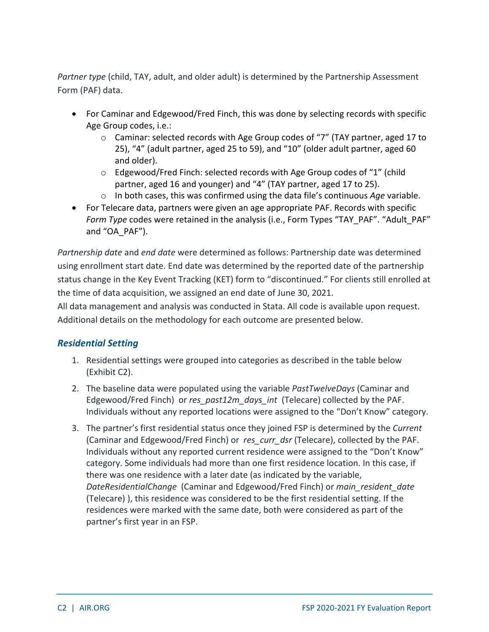*Partner type* (child, TAY, adult, and older adult) is determined by the Partnership Assessment Form (PAF) data.

- For Caminar and Edgewood/Fred Finch, this was done by selecting records with specific Age Group codes, i.e.:
	- o Caminar: selected records with Age Group codes of "7" (TAY partner, aged 17 to 25), "4" (adult partner, aged 25 to 59), and "10" (older adult partner, aged 60 and older).
	- $\circ$  Edgewood/Fred Finch: selected records with Age Group codes of "1" (child partner, aged 16 and younger) and "4" (TAY partner, aged 17 to 25).
	- o In both cases, this was confirmed using the data file's continuous *Age* variable.
- For Telecare data, partners were given an age appropriate PAF. Records with specific *Form Type* codes were retained in the analysis (i.e., Form Types "TAY\_PAF". "Adult\_PAF" and "OA\_PAF").

*Partnership date* and *end date* were determined as follows: Partnership date was determined using enrollment start date. End date was determined by the reported date of the partnership status change in the Key Event Tracking (KET) form to "discontinued." For clients still enrolled at the time of data acquisition, we assigned an end date of June 30, 2021.

All data management and analysis was conducted in Stata. All code is available upon request. Additional details on the methodology for each outcome are presented below.

### *Residential Setting*

- 1. Residential settings were grouped into categories as described in the table below (Exhibit C2).
- 2. The baseline data were populated using the variable *PastTwelveDays* (Caminar and Edgewood/Fred Finch) or *res\_past12m\_days\_int* (Telecare) collected by the PAF. Individuals without any reported locations were assigned to the "Don't Know" category.
- 3. The partner's first residential status once they joined FSP is determined by the *Current* (Caminar and Edgewood/Fred Finch) or *res\_curr\_dsr* (Telecare), collected by the PAF. Individuals without any reported current residence were assigned to the "Don't Know" category. Some individuals had more than one first residence location. In this case, if there was one residence with a later date (as indicated by the variable, *DateResidentialChange* (Caminar and Edgewood/Fred Finch) or *main\_resident\_date* (Telecare) ), this residence was considered to be the first residential setting. If the residences were marked with the same date, both were considered as part of the partner's first year in an FSP.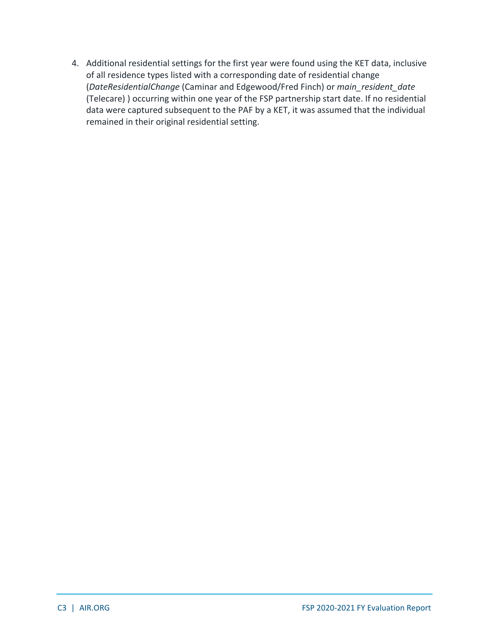4. Additional residential settings for the first year were found using the KET data, inclusive of all residence types listed with a corresponding date of residential change (*DateResidentialChange* (Caminar and Edgewood/Fred Finch) or *main\_resident\_date* (Telecare) ) occurring within one year of the FSP partnership start date. If no residential data were captured subsequent to the PAF by a KET, it was assumed that the individual remained in their original residential setting.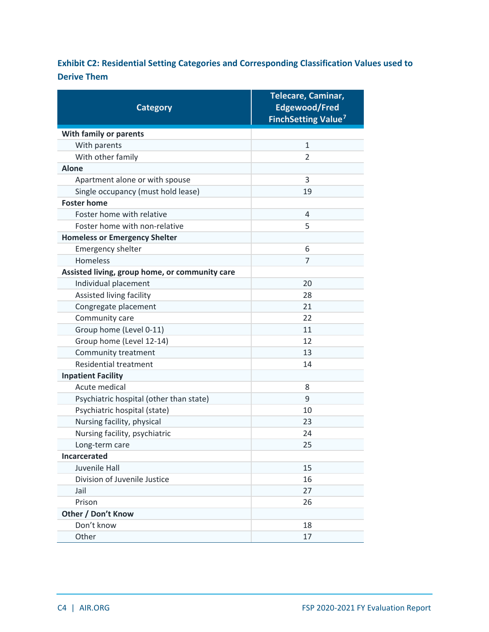# <span id="page-39-0"></span>**Exhibit C2: Residential Setting Categories and Corresponding Classification Values used to Derive Them**

<span id="page-39-1"></span>

| <b>Category</b>                                | Telecare, Caminar,<br><b>Edgewood/Fred</b><br><b>FinchSetting Value<sup>7</sup></b> |
|------------------------------------------------|-------------------------------------------------------------------------------------|
| With family or parents                         |                                                                                     |
| With parents                                   | 1                                                                                   |
| With other family                              | $\overline{2}$                                                                      |
| Alone                                          |                                                                                     |
| Apartment alone or with spouse                 | 3                                                                                   |
| Single occupancy (must hold lease)             | 19                                                                                  |
| <b>Foster home</b>                             |                                                                                     |
| Foster home with relative                      | $\overline{4}$                                                                      |
| Foster home with non-relative                  | 5                                                                                   |
| <b>Homeless or Emergency Shelter</b>           |                                                                                     |
| <b>Emergency shelter</b>                       | 6                                                                                   |
| Homeless                                       | 7                                                                                   |
| Assisted living, group home, or community care |                                                                                     |
| Individual placement                           | 20                                                                                  |
| Assisted living facility                       | 28                                                                                  |
| Congregate placement                           | 21                                                                                  |
| Community care                                 | 22                                                                                  |
| Group home (Level 0-11)                        | 11                                                                                  |
| Group home (Level 12-14)                       | 12                                                                                  |
| Community treatment                            | 13                                                                                  |
| <b>Residential treatment</b>                   | 14                                                                                  |
| <b>Inpatient Facility</b>                      |                                                                                     |
| Acute medical                                  | 8                                                                                   |
| Psychiatric hospital (other than state)        | 9                                                                                   |
| Psychiatric hospital (state)                   | 10                                                                                  |
| Nursing facility, physical                     | 23                                                                                  |
| Nursing facility, psychiatric                  | 24                                                                                  |
| Long-term care                                 | 25                                                                                  |
| Incarcerated                                   |                                                                                     |
| Juvenile Hall                                  | 15                                                                                  |
| Division of Juvenile Justice                   | 16                                                                                  |
| Jail                                           | 27                                                                                  |
| Prison                                         | 26                                                                                  |
| <b>Other / Don't Know</b>                      |                                                                                     |
| Don't know                                     | 18                                                                                  |
| Other                                          | 17                                                                                  |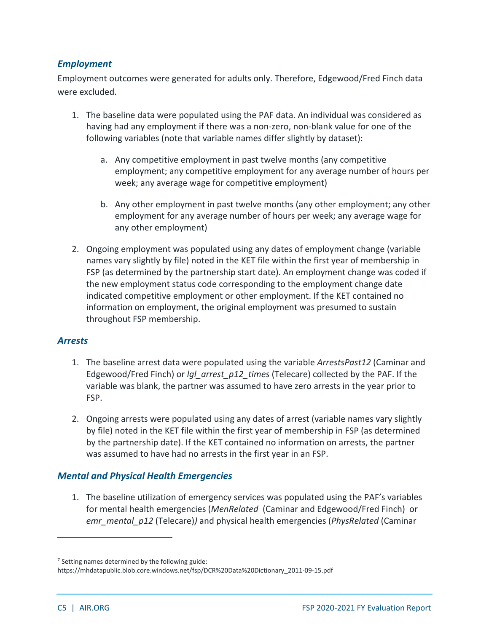#### *Employment*

Employment outcomes were generated for adults only. Therefore, Edgewood/Fred Finch data were excluded.

- 1. The baseline data were populated using the PAF data. An individual was considered as having had any employment if there was a non-zero, non-blank value for one of the following variables (note that variable names differ slightly by dataset):
	- a. Any competitive employment in past twelve months (any competitive employment; any competitive employment for any average number of hours per week; any average wage for competitive employment)
	- b. Any other employment in past twelve months (any other employment; any other employment for any average number of hours per week; any average wage for any other employment)
- 2. Ongoing employment was populated using any dates of employment change (variable names vary slightly by file) noted in the KET file within the first year of membership in FSP (as determined by the partnership start date). An employment change was coded if the new employment status code corresponding to the employment change date indicated competitive employment or other employment. If the KET contained no information on employment, the original employment was presumed to sustain throughout FSP membership.

#### *Arrests*

- 1. The baseline arrest data were populated using the variable *ArrestsPast12* (Caminar and Edgewood/Fred Finch) or *lgl\_arrest\_p12\_times* (Telecare) collected by the PAF. If the variable was blank, the partner was assumed to have zero arrests in the year prior to FSP.
- 2. Ongoing arrests were populated using any dates of arrest (variable names vary slightly by file) noted in the KET file within the first year of membership in FSP (as determined by the partnership date). If the KET contained no information on arrests, the partner was assumed to have had no arrests in the first year in an FSP.

#### *Mental and Physical Health Emergencies*

1. The baseline utilization of emergency services was populated using the PAF's variables for mental health emergencies (*MenRelated* (Caminar and Edgewood/Fred Finch) or *emr\_mental\_p12* (Telecare)*)* and physical health emergencies (*PhysRelated* (Caminar

<sup>7</sup> Setting names determined by the following guide:

https://mhdatapublic.blob.core.windows.net/fsp/DCR%20Data%20Dictionary\_2011-09-15.pdf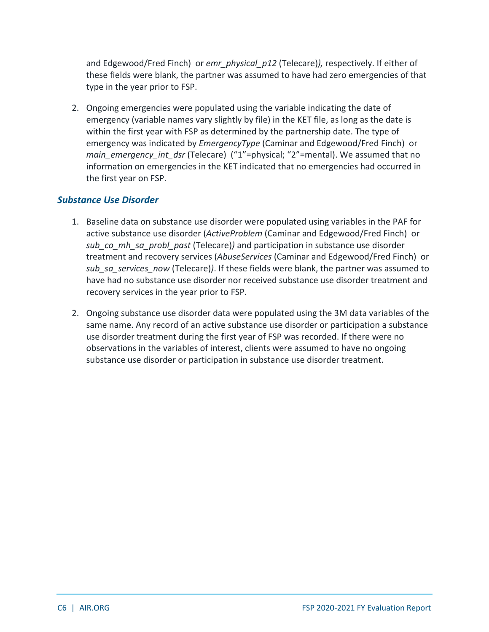and Edgewood/Fred Finch) or *emr\_physical\_p12* (Telecare)*),* respectively. If either of these fields were blank, the partner was assumed to have had zero emergencies of that type in the year prior to FSP.

2. Ongoing emergencies were populated using the variable indicating the date of emergency (variable names vary slightly by file) in the KET file, as long as the date is within the first year with FSP as determined by the partnership date. The type of emergency was indicated by *EmergencyType* (Caminar and Edgewood/Fred Finch) or *main\_emergency\_int\_dsr* (Telecare) ("1"=physical; "2"=mental). We assumed that no information on emergencies in the KET indicated that no emergencies had occurred in the first year on FSP.

#### *Substance Use Disorder*

- 1. Baseline data on substance use disorder were populated using variables in the PAF for active substance use disorder (*ActiveProblem* (Caminar and Edgewood/Fred Finch) or *sub\_co\_mh\_sa\_probl\_past* (Telecare)*)* and participation in substance use disorder treatment and recovery services (*AbuseServices* (Caminar and Edgewood/Fred Finch) or *sub\_sa\_services\_now* (Telecare)*)*. If these fields were blank, the partner was assumed to have had no substance use disorder nor received substance use disorder treatment and recovery services in the year prior to FSP.
- 2. Ongoing substance use disorder data were populated using the 3M data variables of the same name. Any record of an active substance use disorder or participation a substance use disorder treatment during the first year of FSP was recorded. If there were no observations in the variables of interest, clients were assumed to have no ongoing substance use disorder or participation in substance use disorder treatment.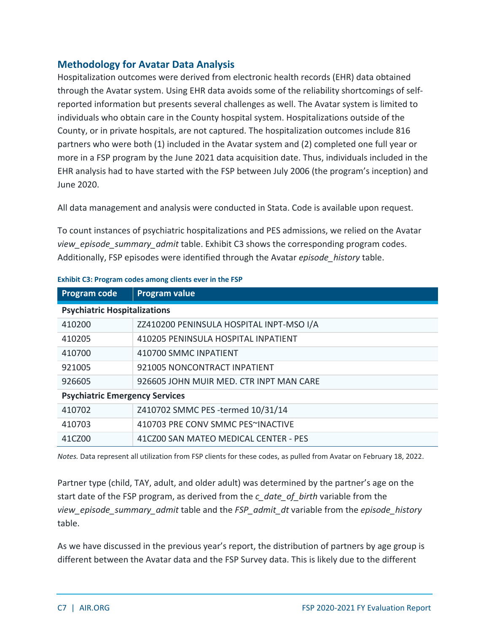## **Methodology for Avatar Data Analysis**

Hospitalization outcomes were derived from electronic health records (EHR) data obtained through the Avatar system. Using EHR data avoids some of the reliability shortcomings of selfreported information but presents several challenges as well. The Avatar system is limited to individuals who obtain care in the County hospital system. Hospitalizations outside of the County, or in private hospitals, are not captured. The hospitalization outcomes include 816 partners who were both (1) included in the Avatar system and (2) completed one full year or more in a FSP program by the June 2021 data acquisition date. Thus, individuals included in the EHR analysis had to have started with the FSP between July 2006 (the program's inception) and June 2020.

All data management and analysis were conducted in Stata. Code is available upon request.

To count instances of psychiatric hospitalizations and PES admissions, we relied on the Avatar *view\_episode\_summary\_admit* table. Exhibit C3 shows the corresponding program codes. Additionally, FSP episodes were identified through the Avatar *episode\_history* table.

| <b>Program code</b>                   | <b>Program value</b>                     |  |
|---------------------------------------|------------------------------------------|--|
| <b>Psychiatric Hospitalizations</b>   |                                          |  |
| 410200                                | ZZ410200 PENINSULA HOSPITAL INPT-MSO I/A |  |
| 410205                                | 410205 PENINSULA HOSPITAL INPATIENT      |  |
| 410700                                | 410700 SMMC INPATIENT                    |  |
| 921005                                | 921005 NONCONTRACT INPATIENT             |  |
| 926605                                | 926605 JOHN MUIR MED. CTR INPT MAN CARE  |  |
| <b>Psychiatric Emergency Services</b> |                                          |  |
| 410702                                | Z410702 SMMC PES -termed 10/31/14        |  |
| 410703                                | 410703 PRE CONV SMMC PES~INACTIVE        |  |
| 41CZ00                                | 41CZ00 SAN MATEO MEDICAL CENTER - PES    |  |

#### **Exhibit C3: Program codes among clients ever in the FSP**

*Notes.* Data represent all utilization from FSP clients for these codes, as pulled from Avatar on February 18, 2022.

Partner type (child, TAY, adult, and older adult) was determined by the partner's age on the start date of the FSP program, as derived from the *c\_date\_of\_birth* variable from the *view\_episode\_summary\_admit* table and the *FSP\_admit\_dt* variable from the *episode\_history* table.

As we have discussed in the previous year's report, the distribution of partners by age group is different between the Avatar data and the FSP Survey data. This is likely due to the different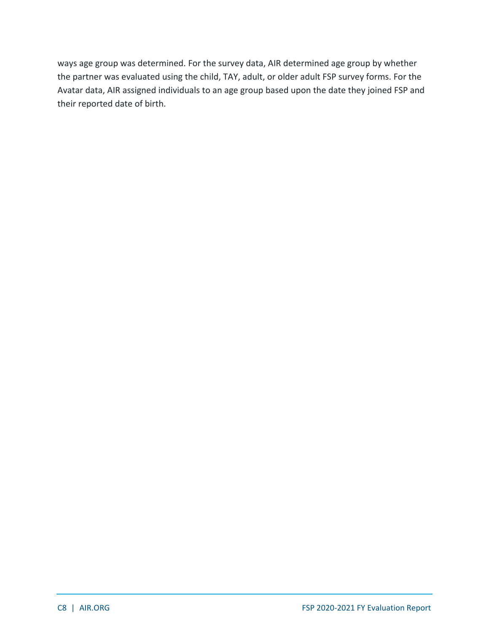ways age group was determined. For the survey data, AIR determined age group by whether the partner was evaluated using the child, TAY, adult, or older adult FSP survey forms. For the Avatar data, AIR assigned individuals to an age group based upon the date they joined FSP and their reported date of birth.